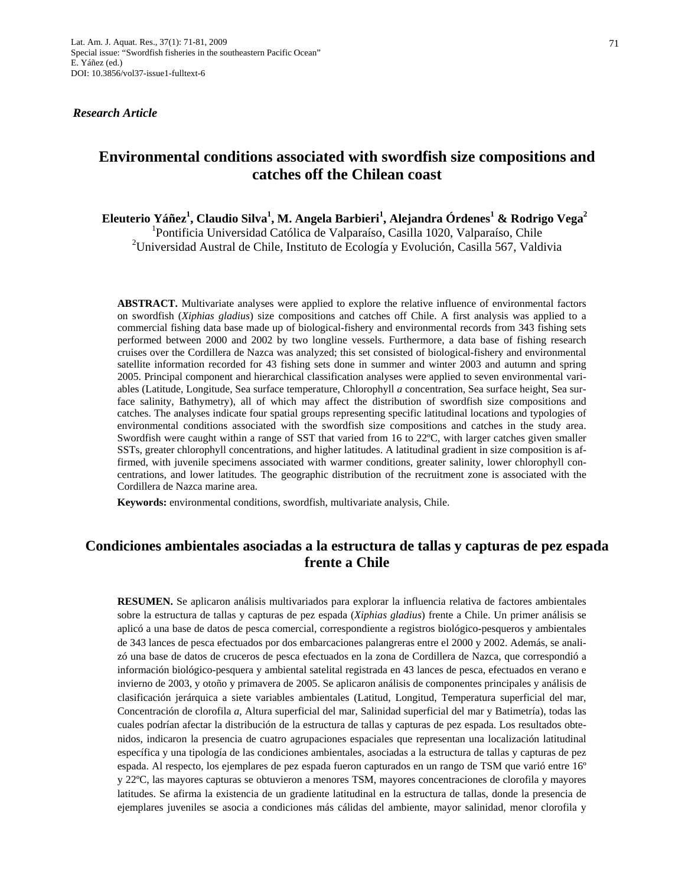*Research Article* 

# **Environmental conditions associated with swordfish size compositions and catches off the Chilean coast**

**Eleuterio Yáñez1 , Claudio Silva1 , M. Angela Barbieri<sup>1</sup> , Alejandra Órdenes<sup>1</sup> & Rodrigo Vega2** 

<sup>1</sup>Pontificia Universidad Católica de Valparaíso, Casilla 1020, Valparaíso, Chile <sup>2</sup>Universidad Austral de Chile, Instituto de Ecología y Evolución, Casilla 567, Valdivia

**ABSTRACT.** Multivariate analyses were applied to explore the relative influence of environmental factors on swordfish (*Xiphias gladius*) size compositions and catches off Chile. A first analysis was applied to a commercial fishing data base made up of biological-fishery and environmental records from 343 fishing sets performed between 2000 and 2002 by two longline vessels. Furthermore, a data base of fishing research cruises over the Cordillera de Nazca was analyzed; this set consisted of biological-fishery and environmental satellite information recorded for 43 fishing sets done in summer and winter 2003 and autumn and spring 2005. Principal component and hierarchical classification analyses were applied to seven environmental variables (Latitude, Longitude, Sea surface temperature, Chlorophyll *a* concentration, Sea surface height, Sea surface salinity, Bathymetry), all of which may affect the distribution of swordfish size compositions and catches. The analyses indicate four spatial groups representing specific latitudinal locations and typologies of environmental conditions associated with the swordfish size compositions and catches in the study area. Swordfish were caught within a range of SST that varied from 16 to 22ºC, with larger catches given smaller SSTs, greater chlorophyll concentrations, and higher latitudes. A latitudinal gradient in size composition is affirmed, with juvenile specimens associated with warmer conditions, greater salinity, lower chlorophyll concentrations, and lower latitudes. The geographic distribution of the recruitment zone is associated with the Cordillera de Nazca marine area.

**Keywords:** environmental conditions, swordfish, multivariate analysis, Chile.

## **Condiciones ambientales asociadas a la estructura de tallas y capturas de pez espada frente a Chile**

**RESUMEN.** Se aplicaron análisis multivariados para explorar la influencia relativa de factores ambientales sobre la estructura de tallas y capturas de pez espada (*Xiphias gladius*) frente a Chile. Un primer análisis se aplicó a una base de datos de pesca comercial, correspondiente a registros biológico-pesqueros y ambientales de 343 lances de pesca efectuados por dos embarcaciones palangreras entre el 2000 y 2002. Además, se analizó una base de datos de cruceros de pesca efectuados en la zona de Cordillera de Nazca, que correspondió a información biológico-pesquera y ambiental satelital registrada en 43 lances de pesca, efectuados en verano e invierno de 2003, y otoño y primavera de 2005. Se aplicaron análisis de componentes principales y análisis de clasificación jerárquica a siete variables ambientales (Latitud, Longitud, Temperatura superficial del mar, Concentración de clorofila *a*, Altura superficial del mar, Salinidad superficial del mar y Batimetría), todas las cuales podrían afectar la distribución de la estructura de tallas y capturas de pez espada. Los resultados obtenidos, indicaron la presencia de cuatro agrupaciones espaciales que representan una localización latitudinal específica y una tipología de las condiciones ambientales, asociadas a la estructura de tallas y capturas de pez espada. Al respecto, los ejemplares de pez espada fueron capturados en un rango de TSM que varió entre 16º y 22ºC, las mayores capturas se obtuvieron a menores TSM, mayores concentraciones de clorofila y mayores latitudes. Se afirma la existencia de un gradiente latitudinal en la estructura de tallas, donde la presencia de ejemplares juveniles se asocia a condiciones más cálidas del ambiente, mayor salinidad, menor clorofila y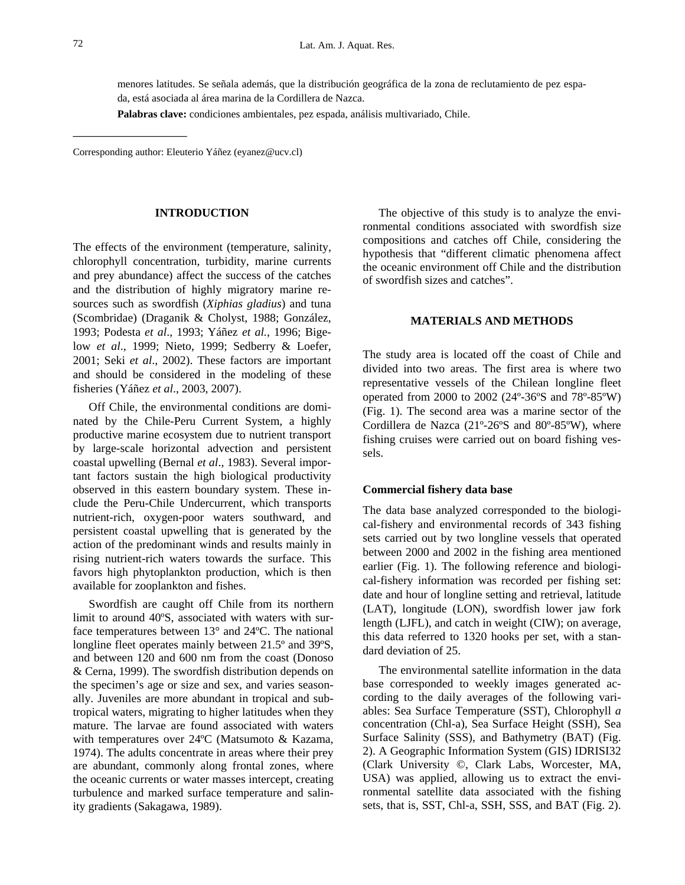menores latitudes. Se señala además, que la distribución geográfica de la zona de reclutamiento de pez espada, está asociada al área marina de la Cordillera de Nazca.

**Palabras clave:** condiciones ambientales, pez espada, análisis multivariado, Chile.

Corresponding author: Eleuterio Yáñez (eyanez@ucv.cl)

\_\_\_\_\_\_\_\_\_\_\_\_\_\_\_\_\_

#### **INTRODUCTION**

The effects of the environment (temperature, salinity, chlorophyll concentration, turbidity, marine currents and prey abundance) affect the success of the catches and the distribution of highly migratory marine resources such as swordfish (*Xiphias gladius*) and tuna (Scombridae) (Draganik & Cholyst, 1988; González, 1993; Podesta *et al*., 1993; Yáñez *et al.*, 1996; Bigelow *et al*., 1999; Nieto, 1999; Sedberry & Loefer, 2001; Seki *et al*., 2002). These factors are important and should be considered in the modeling of these fisheries (Yáñez *et al*., 2003, 2007).

Off Chile, the environmental conditions are dominated by the Chile-Peru Current System, a highly productive marine ecosystem due to nutrient transport by large-scale horizontal advection and persistent coastal upwelling (Bernal *et al*., 1983). Several important factors sustain the high biological productivity observed in this eastern boundary system. These include the Peru-Chile Undercurrent, which transports nutrient-rich, oxygen-poor waters southward, and persistent coastal upwelling that is generated by the action of the predominant winds and results mainly in rising nutrient-rich waters towards the surface. This favors high phytoplankton production, which is then available for zooplankton and fishes.

Swordfish are caught off Chile from its northern limit to around 40ºS, associated with waters with surface temperatures between 13° and 24ºC. The national longline fleet operates mainly between 21.5<sup>°</sup> and 39<sup>°</sup>S, and between 120 and 600 nm from the coast (Donoso & Cerna, 1999). The swordfish distribution depends on the specimen's age or size and sex, and varies seasonally. Juveniles are more abundant in tropical and subtropical waters, migrating to higher latitudes when they mature. The larvae are found associated with waters with temperatures over 24ºC (Matsumoto & Kazama, 1974). The adults concentrate in areas where their prey are abundant, commonly along frontal zones, where the oceanic currents or water masses intercept, creating turbulence and marked surface temperature and salinity gradients (Sakagawa, 1989).

The objective of this study is to analyze the environmental conditions associated with swordfish size compositions and catches off Chile, considering the hypothesis that "different climatic phenomena affect the oceanic environment off Chile and the distribution of swordfish sizes and catches".

## **MATERIALS AND METHODS**

The study area is located off the coast of Chile and divided into two areas. The first area is where two representative vessels of the Chilean longline fleet operated from 2000 to 2002 (24º-36ºS and 78º-85ºW) (Fig. 1). The second area was a marine sector of the Cordillera de Nazca (21º-26ºS and 80º-85ºW), where fishing cruises were carried out on board fishing vessels.

#### **Commercial fishery data base**

The data base analyzed corresponded to the biological-fishery and environmental records of 343 fishing sets carried out by two longline vessels that operated between 2000 and 2002 in the fishing area mentioned earlier (Fig. 1). The following reference and biological-fishery information was recorded per fishing set: date and hour of longline setting and retrieval, latitude (LAT), longitude (LON), swordfish lower jaw fork length (LJFL), and catch in weight (CIW); on average, this data referred to 1320 hooks per set, with a standard deviation of 25.

The environmental satellite information in the data base corresponded to weekly images generated according to the daily averages of the following variables: Sea Surface Temperature (SST), Chlorophyll *a* concentration (Chl-a), Sea Surface Height (SSH), Sea Surface Salinity (SSS), and Bathymetry (BAT) (Fig. 2). A Geographic Information System (GIS) IDRISI32 (Clark University ©, Clark Labs, Worcester, MA, USA) was applied, allowing us to extract the environmental satellite data associated with the fishing sets, that is, SST, Chl-a, SSH, SSS, and BAT (Fig. 2).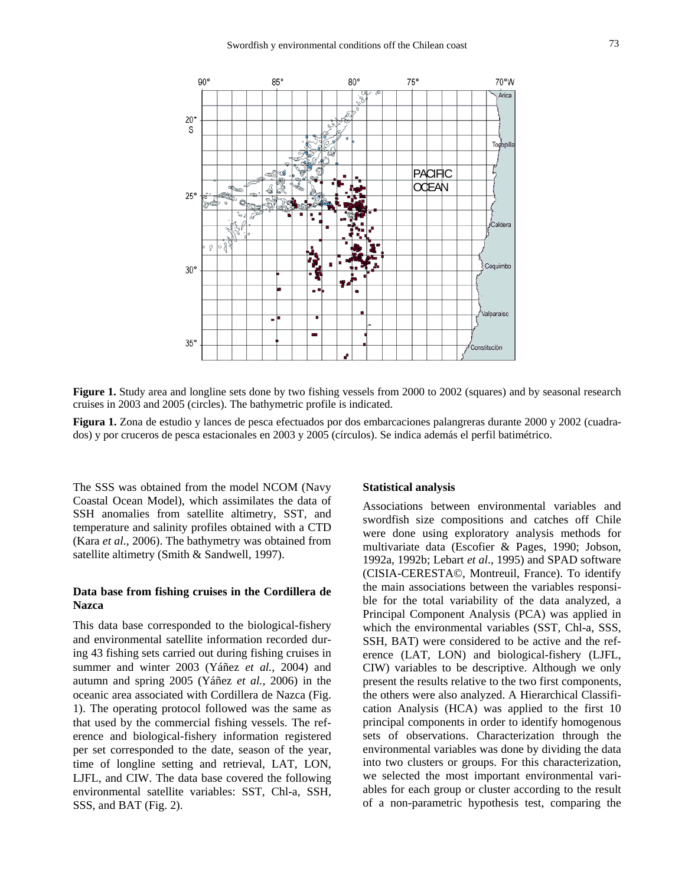

**Figure 1.** Study area and longline sets done by two fishing vessels from 2000 to 2002 (squares) and by seasonal research cruises in 2003 and 2005 (circles). The bathymetric profile is indicated.

**Figura 1.** Zona de estudio y lances de pesca efectuados por dos embarcaciones palangreras durante 2000 y 2002 (cuadrados) y por cruceros de pesca estacionales en 2003 y 2005 (círculos). Se indica además el perfil batimétrico.

The SSS was obtained from the model NCOM (Navy Coastal Ocean Model), which assimilates the data of SSH anomalies from satellite altimetry, SST, and temperature and salinity profiles obtained with a CTD (Kara *et al.,* 2006). The bathymetry was obtained from satellite altimetry (Smith & Sandwell, 1997).

## **Data base from fishing cruises in the Cordillera de Nazca**

This data base corresponded to the biological-fishery and environmental satellite information recorded during 43 fishing sets carried out during fishing cruises in summer and winter 2003 (Yáñez *et al.,* 2004) and autumn and spring 2005 (Yáñez *et al.,* 2006) in the oceanic area associated with Cordillera de Nazca (Fig. 1). The operating protocol followed was the same as that used by the commercial fishing vessels. The reference and biological-fishery information registered per set corresponded to the date, season of the year, time of longline setting and retrieval, LAT, LON, LJFL, and CIW. The data base covered the following environmental satellite variables: SST, Chl-a, SSH, SSS, and BAT (Fig. 2).

#### **Statistical analysis**

Associations between environmental variables and swordfish size compositions and catches off Chile were done using exploratory analysis methods for multivariate data (Escofier & Pages, 1990; Jobson, 1992a, 1992b; Lebart *et al*., 1995) and SPAD software (CISIA-CERESTA©, Montreuil, France). To identify the main associations between the variables responsible for the total variability of the data analyzed, a Principal Component Analysis (PCA) was applied in which the environmental variables (SST, Chl-a, SSS, SSH, BAT) were considered to be active and the reference (LAT, LON) and biological-fishery (LJFL, CIW) variables to be descriptive. Although we only present the results relative to the two first components, the others were also analyzed. A Hierarchical Classification Analysis (HCA) was applied to the first 10 principal components in order to identify homogenous sets of observations. Characterization through the environmental variables was done by dividing the data into two clusters or groups. For this characterization, we selected the most important environmental variables for each group or cluster according to the result of a non-parametric hypothesis test, comparing the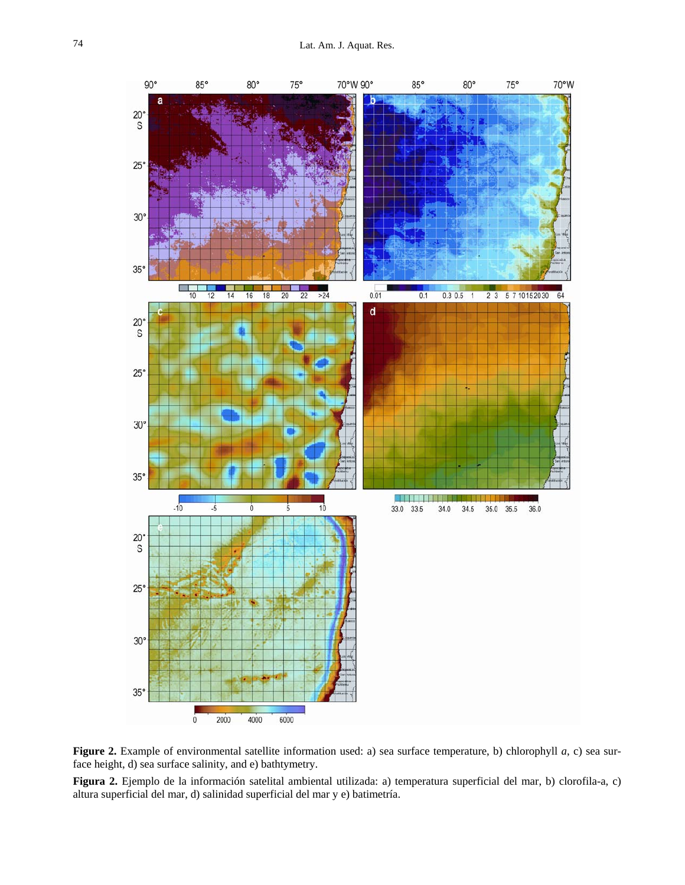



**Figura 2.** Ejemplo de la información satelital ambiental utilizada: a) temperatura superficial del mar, b) clorofila-a, c) altura superficial del mar, d) salinidad superficial del mar y e) batimetría.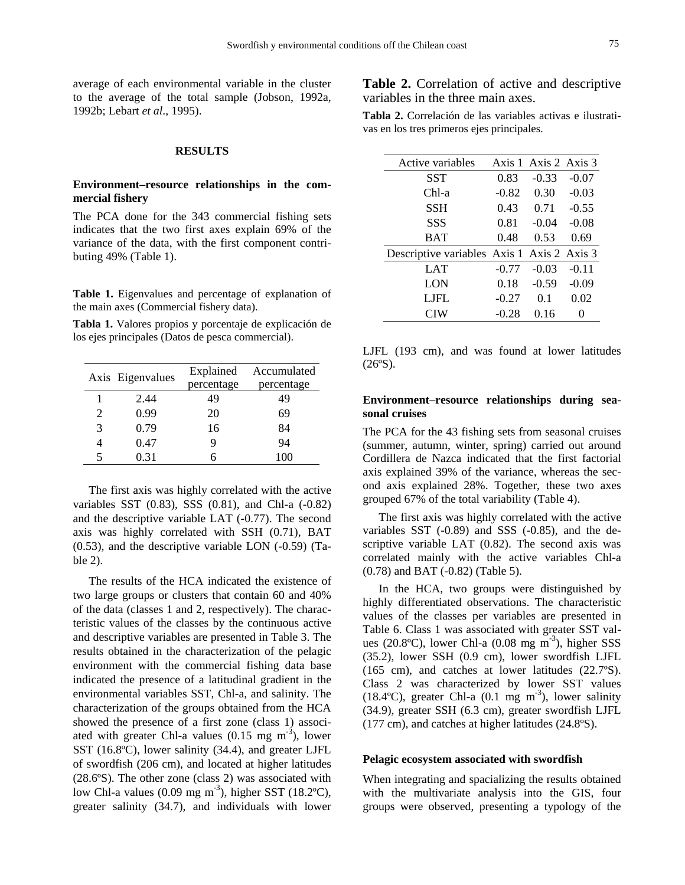average of each environmental variable in the cluster to the average of the total sample (Jobson, 1992a, 1992b; Lebart *et al*., 1995).

#### **RESULTS**

## **Environment–resource relationships in the commercial fishery**

The PCA done for the 343 commercial fishing sets indicates that the two first axes explain 69% of the variance of the data, with the first component contributing 49% (Table 1).

**Table 1.** Eigenvalues and percentage of explanation of the main axes (Commercial fishery data).

**Tabla 1.** Valores propios y porcentaje de explicación de los ejes principales (Datos de pesca commercial).

|   | Axis Eigenvalues | Explained<br>percentage | Accumulated<br>percentage |  |  |
|---|------------------|-------------------------|---------------------------|--|--|
|   | 2.44             | 49                      | 49                        |  |  |
| 2 | 0.99             | 20                      | 69                        |  |  |
| 3 | 0.79             | 16                      | 84                        |  |  |
|   | 0.47             | q                       | 94                        |  |  |
| 5 | 0.31             |                         | 100                       |  |  |

The first axis was highly correlated with the active variables SST (0.83), SSS (0.81), and Chl-a (-0.82) and the descriptive variable LAT (-0.77). The second axis was highly correlated with SSH (0.71), BAT (0.53), and the descriptive variable LON (-0.59) (Table 2).

The results of the HCA indicated the existence of two large groups or clusters that contain 60 and 40% of the data (classes 1 and 2, respectively). The characteristic values of the classes by the continuous active and descriptive variables are presented in Table 3. The results obtained in the characterization of the pelagic environment with the commercial fishing data base indicated the presence of a latitudinal gradient in the environmental variables SST, Chl-a, and salinity. The characterization of the groups obtained from the HCA showed the presence of a first zone (class 1) associated with greater Chl-a values  $(0.15 \text{ mg m}^{-3})$ , lower SST (16.8ºC), lower salinity (34.4), and greater LJFL of swordfish (206 cm), and located at higher latitudes (28.6ºS). The other zone (class 2) was associated with low Chl-a values  $(0.09 \text{ mg m}^{-3})$ , higher SST  $(18.2^{\circ}\text{C})$ , greater salinity (34.7), and individuals with lower **Table 2.** Correlation of active and descriptive variables in the three main axes.

**Tabla 2.** Correlación de las variables activas e ilustrativas en los tres primeros ejes principales.

| Active variables                           |         | Axis 1 Axis 2 Axis 3 |         |
|--------------------------------------------|---------|----------------------|---------|
| <b>SST</b>                                 | 0.83    | $-0.33$              | $-0.07$ |
| Chl-a                                      | $-0.82$ | 0.30                 | $-0.03$ |
| <b>SSH</b>                                 | 0.43    | 0.71                 | $-0.55$ |
| SSS                                        | 0.81    | $-0.04$              | $-0.08$ |
| <b>BAT</b>                                 | 0.48    | 0.53                 | 0.69    |
| Descriptive variables Axis 1 Axis 2 Axis 3 |         |                      |         |
| LAT                                        | $-0.77$ | $-0.03$              | $-0.11$ |
| LON                                        | 0.18    | $-0.59$              | $-0.09$ |
| LJFL                                       | $-0.27$ | 0.1                  | 0.02    |
| CIW                                        | $-0.28$ | 0.16                 | 0       |

LJFL (193 cm), and was found at lower latitudes  $(26°S)$ .

### **Environment–resource relationships during seasonal cruises**

The PCA for the 43 fishing sets from seasonal cruises (summer, autumn, winter, spring) carried out around Cordillera de Nazca indicated that the first factorial axis explained 39% of the variance, whereas the second axis explained 28%. Together, these two axes grouped 67% of the total variability (Table 4).

The first axis was highly correlated with the active variables SST (-0.89) and SSS (-0.85), and the descriptive variable LAT (0.82). The second axis was correlated mainly with the active variables Chl-a (0.78) and BAT (-0.82) (Table 5).

In the HCA, two groups were distinguished by highly differentiated observations. The characteristic values of the classes per variables are presented in Table 6. Class 1 was associated with greater SST values (20.8 $^{\circ}$ C), lower Chl-a (0.08 mg m<sup>-3</sup>), higher SSS (35.2), lower SSH (0.9 cm), lower swordfish LJFL (165 cm), and catches at lower latitudes (22.7ºS). Class 2 was characterized by lower SST values  $(18.4^{\circ}C)$ , greater Chl-a  $(0.1 \text{ mg m}^{-3})$ , lower salinity (34.9), greater SSH (6.3 cm), greater swordfish LJFL (177 cm), and catches at higher latitudes (24.8ºS).

#### **Pelagic ecosystem associated with swordfish**

When integrating and spacializing the results obtained with the multivariate analysis into the GIS, four groups were observed, presenting a typology of the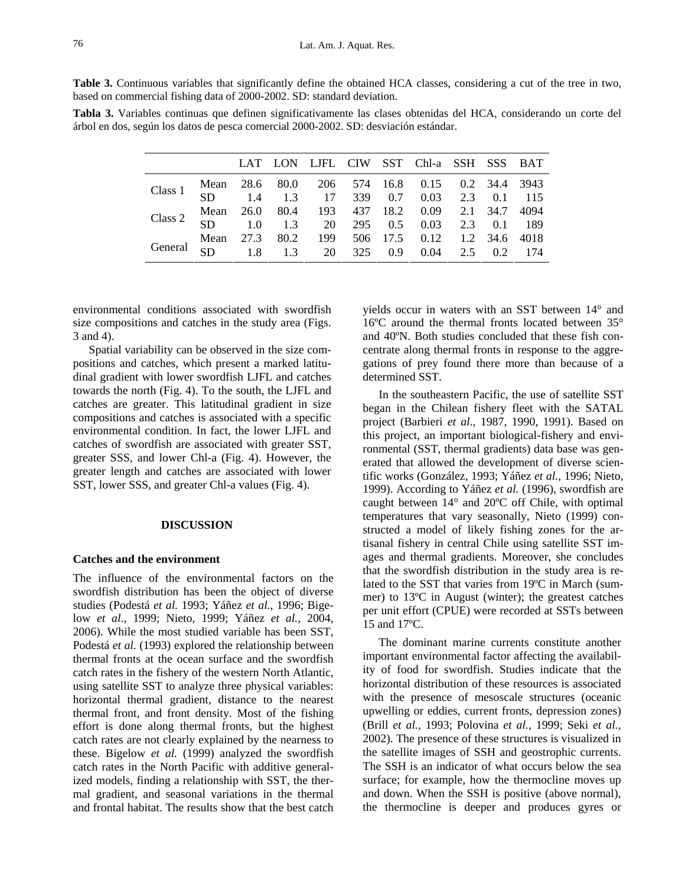**Table 3.** Continuous variables that significantly define the obtained HCA classes, considering a cut of the tree in two, based on commercial fishing data of 2000-2002. SD: standard deviation.

**Tabla 3.** Variables continuas que definen significativamente las clases obtenidas del HCA, considerando un corte del árbol en dos, según los datos de pesca comercial 2000-2002. SD: desviación estándar.

|         |  |                |                       |  | LAT LON LJFL CIW SST Chl-a SSH SSS BAT         |                          |  |
|---------|--|----------------|-----------------------|--|------------------------------------------------|--------------------------|--|
| Class 1 |  |                |                       |  | Mean 28.6 80.0 206 574 16.8 0.15 0.2 34.4 3943 |                          |  |
|         |  |                |                       |  | SD 1.4 1.3 17 339 0.7 0.03 2.3 0.1 115         |                          |  |
| Class 2 |  |                |                       |  | Mean 26.0 80.4 193 437 18.2 0.09 2.1 34.7 4094 |                          |  |
|         |  |                |                       |  | SD 1.0 1.3 20 295 0.5 0.03 2.3 0.1 189         |                          |  |
| General |  | Mean 27.3 80.2 |                       |  | 199 506 17.5 0.12 1.2 34.6 4018                |                          |  |
|         |  |                | SD 1.8 1.3 20 325 0.9 |  |                                                | $0.04$ $2.5$ $0.2$ $174$ |  |

environmental conditions associated with swordfish size compositions and catches in the study area (Figs. 3 and 4).

Spatial variability can be observed in the size compositions and catches, which present a marked latitudinal gradient with lower swordfish LJFL and catches towards the north (Fig. 4). To the south, the LJFL and catches are greater. This latitudinal gradient in size compositions and catches is associated with a specific environmental condition. In fact, the lower LJFL and catches of swordfish are associated with greater SST, greater SSS, and lower Chl-a (Fig. 4). However, the greater length and catches are associated with lower SST, lower SSS, and greater Chl-a values (Fig. 4).

#### **DISCUSSION**

### **Catches and the environment**

The influence of the environmental factors on the swordfish distribution has been the object of diverse studies (Podestá *et al.* 1993; Yáñez *et al.*, 1996; Bigelow *et al.*, 1999; Nieto, 1999; Yáñez *et al.*, 2004, 2006). While the most studied variable has been SST, Podestá *et al.* (1993) explored the relationship between thermal fronts at the ocean surface and the swordfish catch rates in the fishery of the western North Atlantic, using satellite SST to analyze three physical variables: horizontal thermal gradient, distance to the nearest thermal front, and front density. Most of the fishing effort is done along thermal fronts, but the highest catch rates are not clearly explained by the nearness to these. Bigelow *et al.* (1999) analyzed the swordfish catch rates in the North Pacific with additive generalized models, finding a relationship with SST, the thermal gradient, and seasonal variations in the thermal and frontal habitat. The results show that the best catch yields occur in waters with an SST between 14° and 16ºC around the thermal fronts located between 35° and 40ºN. Both studies concluded that these fish concentrate along thermal fronts in response to the aggregations of prey found there more than because of a determined SST.

In the southeastern Pacific, the use of satellite SST began in the Chilean fishery fleet with the SATAL project (Barbieri *et al*., 1987, 1990, 1991). Based on this project, an important biological-fishery and environmental (SST, thermal gradients) data base was generated that allowed the development of diverse scientific works (González, 1993; Yáñez *et al.*, 1996; Nieto, 1999). According to Yáñez *et al.* (1996), swordfish are caught between 14° and 20ºC off Chile, with optimal temperatures that vary seasonally, Nieto (1999) constructed a model of likely fishing zones for the artisanal fishery in central Chile using satellite SST images and thermal gradients. Moreover, she concludes that the swordfish distribution in the study area is related to the SST that varies from 19ºC in March (summer) to 13ºC in August (winter); the greatest catches per unit effort (CPUE) were recorded at SSTs between 15 and 17ºC.

The dominant marine currents constitute another important environmental factor affecting the availability of food for swordfish. Studies indicate that the horizontal distribution of these resources is associated with the presence of mesoscale structures (oceanic upwelling or eddies, current fronts, depression zones) (Brill *et al.,* 1993; Polovina *et al.,* 1999; Seki *et al.,* 2002). The presence of these structures is visualized in the satellite images of SSH and geostrophic currents. The SSH is an indicator of what occurs below the sea surface; for example, how the thermocline moves up and down. When the SSH is positive (above normal), the thermocline is deeper and produces gyres or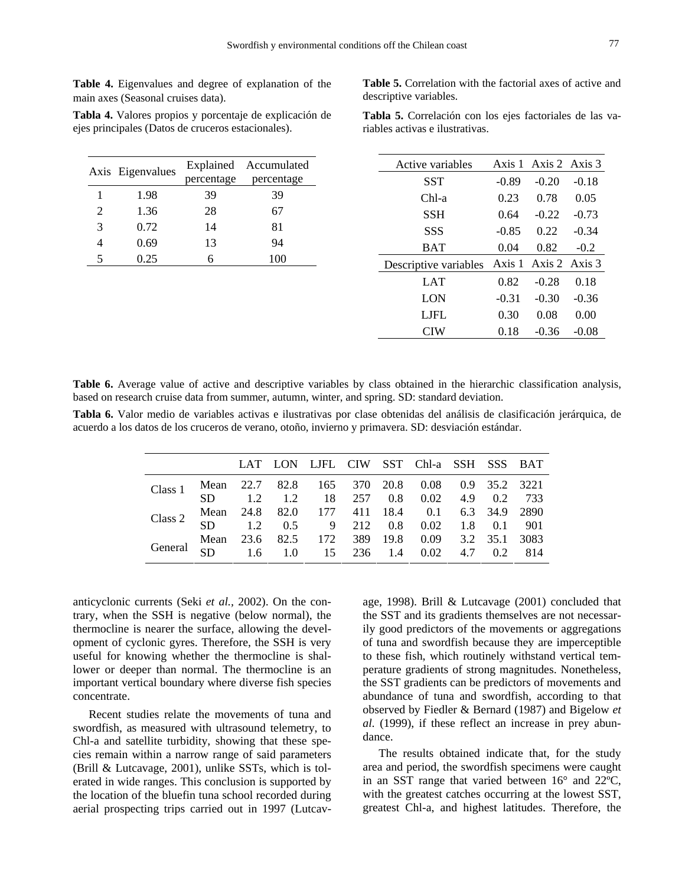**Table 4.** Eigenvalues and degree of explanation of the main axes (Seasonal cruises data).

|   | Axis Eigenvalues |            | Explained Accumulated |  |  |
|---|------------------|------------|-----------------------|--|--|
|   |                  | percentage | percentage            |  |  |
|   | 1.98             | 39         | 39                    |  |  |
| 2 | 1.36             | 28         | 67                    |  |  |
| 3 | 0.72             | 14         | 81                    |  |  |
|   | 0.69             | 13         | 94                    |  |  |
| 5 | 0.25             |            | 100                   |  |  |

**Tabla 4.** Valores propios y porcentaje de explicación de ejes principales (Datos de cruceros estacionales).

**Table 5.** Correlation with the factorial axes of active and descriptive variables.

**Tabla 5.** Correlación con los ejes factoriales de las variables activas e ilustrativas.

| Active variables      |         | Axis 1 Axis 2 Axis 3 |         |  |
|-----------------------|---------|----------------------|---------|--|
| <b>SST</b>            | $-0.89$ | $-0.20$              | $-0.18$ |  |
| $Chl-a$               | 0.23    | 0.78                 | 0.05    |  |
| SSH                   | 0.64    | $-0.22$              | $-0.73$ |  |
| SSS                   | $-0.85$ | 0.22                 | $-0.34$ |  |
| <b>BAT</b>            | 0.04    | 0.82                 | $-0.2$  |  |
| Descriptive variables | Axis 1  | Axis 2 Axis 3        |         |  |
| LAT                   | 0.82    | $-0.28$              | 0.18    |  |
| LON                   | $-0.31$ | $-0.30$              | $-0.36$ |  |
| LJFL                  | 0.30    | 0.08                 | 0.00    |  |
| CIW                   | 0.18    | $-0.36$              | -0.08   |  |

**Table 6.** Average value of active and descriptive variables by class obtained in the hierarchic classification analysis, based on research cruise data from summer, autumn, winter, and spring. SD: standard deviation.

**Tabla 6.** Valor medio de variables activas e ilustrativas por clase obtenidas del análisis de clasificación jerárquica, de acuerdo a los datos de los cruceros de verano, otoño, invierno y primavera. SD: desviación estándar.

|                                                                                                          |                                                                                        |  |  | LAT LON LJFL CIW SST Chl-a SSH SSS BAT |  |  |
|----------------------------------------------------------------------------------------------------------|----------------------------------------------------------------------------------------|--|--|----------------------------------------|--|--|
| Class 1 Mean 22.7 82.8 165 370 20.8 0.08 0.9 35.2 3221<br>SD 1.2 1.2 18 257 0.8 0.02 4.9 0.2 733         |                                                                                        |  |  |                                        |  |  |
|                                                                                                          |                                                                                        |  |  |                                        |  |  |
| Class 2                                                                                                  |                                                                                        |  |  |                                        |  |  |
|                                                                                                          | Mean 24.8 82.0 177 411 18.4 0.1 6.3 34.9 2890<br>SD 1.2 0.5 9 212 0.8 0.02 1.8 0.1 901 |  |  |                                        |  |  |
| General Mean 23.6 82.5 172 389 19.8 0.09 3.2 35.1 3083<br>General SD 1.6 1.0 15 236 1.4 0.02 4.7 0.2 814 |                                                                                        |  |  |                                        |  |  |
|                                                                                                          |                                                                                        |  |  |                                        |  |  |

anticyclonic currents (Seki *et al.,* 2002). On the contrary, when the SSH is negative (below normal), the thermocline is nearer the surface, allowing the development of cyclonic gyres. Therefore, the SSH is very useful for knowing whether the thermocline is shallower or deeper than normal. The thermocline is an important vertical boundary where diverse fish species concentrate.

Recent studies relate the movements of tuna and swordfish, as measured with ultrasound telemetry, to Chl-a and satellite turbidity, showing that these species remain within a narrow range of said parameters (Brill & Lutcavage, 2001), unlike SSTs, which is tolerated in wide ranges. This conclusion is supported by the location of the bluefin tuna school recorded during aerial prospecting trips carried out in 1997 (Lutcavage, 1998). Brill & Lutcavage (2001) concluded that the SST and its gradients themselves are not necessarily good predictors of the movements or aggregations of tuna and swordfish because they are imperceptible to these fish, which routinely withstand vertical temperature gradients of strong magnitudes. Nonetheless, the SST gradients can be predictors of movements and abundance of tuna and swordfish, according to that observed by Fiedler & Bernard (1987) and Bigelow *et al.* (1999), if these reflect an increase in prey abundance.

The results obtained indicate that, for the study area and period, the swordfish specimens were caught in an SST range that varied between 16° and 22ºC, with the greatest catches occurring at the lowest SST, greatest Chl-a, and highest latitudes. Therefore, the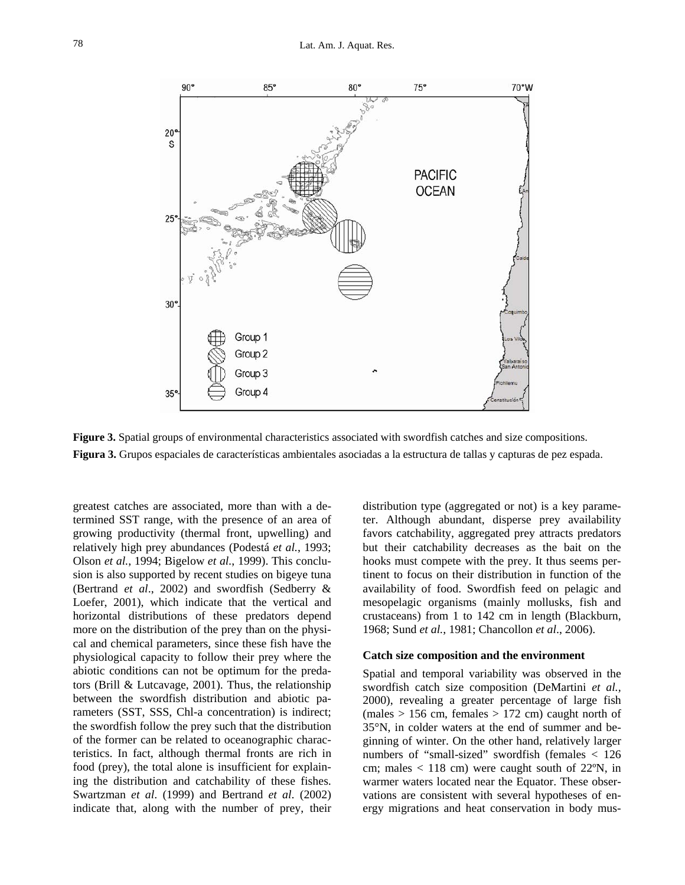

**Figure 3.** Spatial groups of environmental characteristics associated with swordfish catches and size compositions. **Figura 3.** Grupos espaciales de características ambientales asociadas a la estructura de tallas y capturas de pez espada.

greatest catches are associated, more than with a determined SST range, with the presence of an area of growing productivity (thermal front, upwelling) and relatively high prey abundances (Podestá *et al.*, 1993; Olson *et al.*, 1994; Bigelow *et al.*, 1999). This conclusion is also supported by recent studies on bigeye tuna (Bertrand *et al*., 2002) and swordfish (Sedberry & Loefer, 2001), which indicate that the vertical and horizontal distributions of these predators depend more on the distribution of the prey than on the physical and chemical parameters, since these fish have the physiological capacity to follow their prey where the abiotic conditions can not be optimum for the predators (Brill & Lutcavage, 2001). Thus, the relationship between the swordfish distribution and abiotic parameters (SST, SSS, Chl-a concentration) is indirect; the swordfish follow the prey such that the distribution of the former can be related to oceanographic characteristics. In fact, although thermal fronts are rich in food (prey), the total alone is insufficient for explaining the distribution and catchability of these fishes. Swartzman *et al*. (1999) and Bertrand *et al*. (2002) indicate that, along with the number of prey, their distribution type (aggregated or not) is a key parameter. Although abundant, disperse prey availability favors catchability, aggregated prey attracts predators but their catchability decreases as the bait on the hooks must compete with the prey. It thus seems pertinent to focus on their distribution in function of the availability of food. Swordfish feed on pelagic and mesopelagic organisms (mainly mollusks, fish and crustaceans) from 1 to 142 cm in length (Blackburn, 1968; Sund *et al.*, 1981; Chancollon *et al*., 2006).

#### **Catch size composition and the environment**

Spatial and temporal variability was observed in the swordfish catch size composition (DeMartini *et al.,*  2000), revealing a greater percentage of large fish  $(males > 156 cm, females > 172 cm) caught north of$ 35°N, in colder waters at the end of summer and beginning of winter. On the other hand, relatively larger numbers of "small-sized" swordfish (females < 126 cm; males  $< 118$  cm) were caught south of 22 $\degree$ N, in warmer waters located near the Equator. These observations are consistent with several hypotheses of energy migrations and heat conservation in body mus-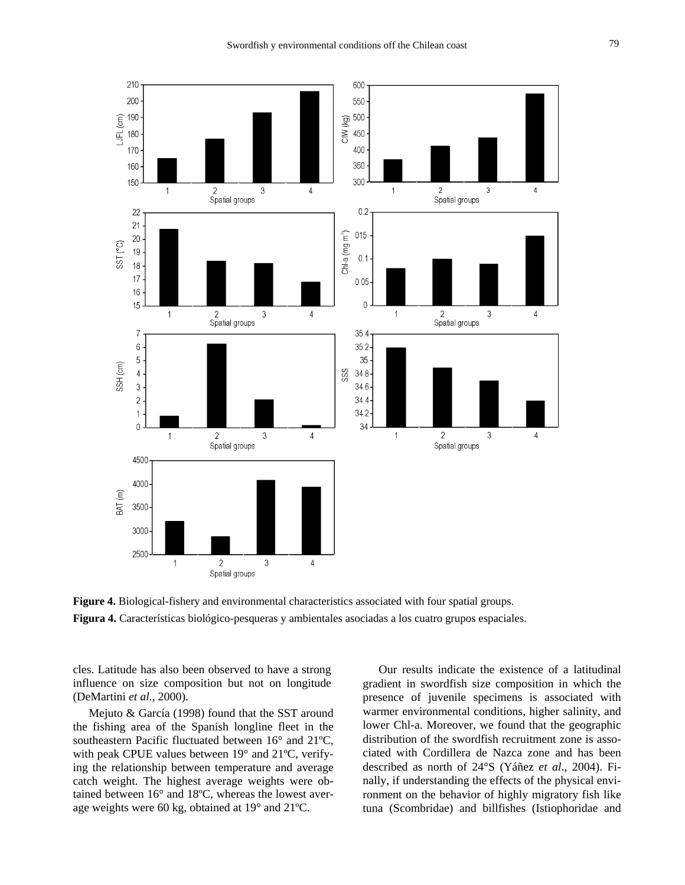

**Figure 4.** Biological-fishery and environmental characteristics associated with four spatial groups. **Figura 4.** Características biológico-pesqueras y ambientales asociadas a los cuatro grupos espaciales.

cles. Latitude has also been observed to have a strong influence on size composition but not on longitude (DeMartini *et al.,* 2000).

Mejuto & García (1998) found that the SST around the fishing area of the Spanish longline fleet in the southeastern Pacific fluctuated between 16° and 21ºC, with peak CPUE values between 19° and 21ºC, verifying the relationship between temperature and average catch weight. The highest average weights were obtained between 16° and 18ºC, whereas the lowest average weights were 60 kg, obtained at 19° and 21ºC.

Our results indicate the existence of a latitudinal gradient in swordfish size composition in which the presence of juvenile specimens is associated with warmer environmental conditions, higher salinity, and lower Chl-a. Moreover, we found that the geographic distribution of the swordfish recruitment zone is associated with Cordillera de Nazca zone and has been described as north of 24°S (Yáñez *et al*., 2004). Finally, if understanding the effects of the physical environment on the behavior of highly migratory fish like tuna (Scombridae) and billfishes (Istiophoridae and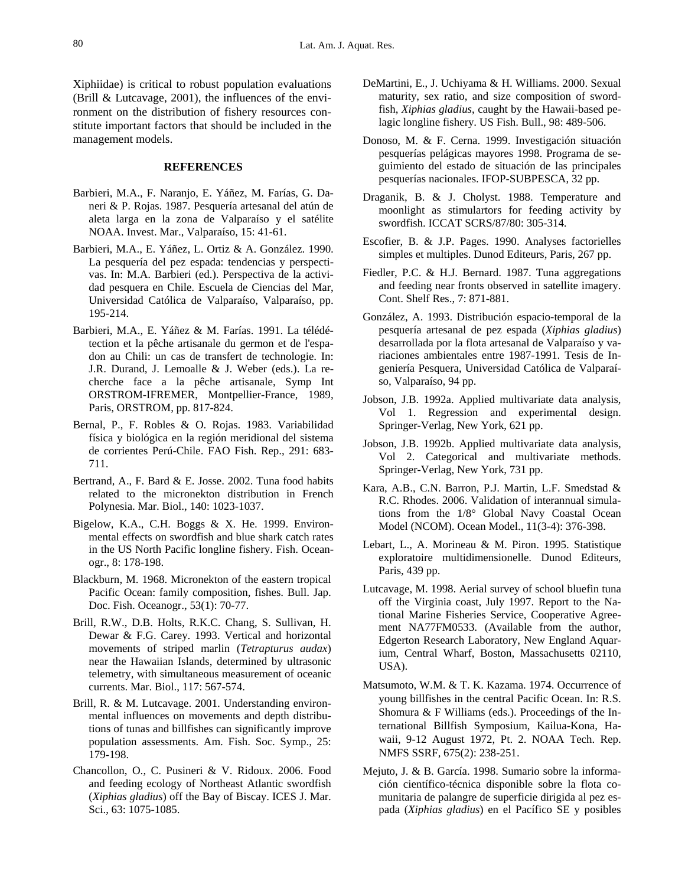Xiphiidae) is critical to robust population evaluations (Brill & Lutcavage, 2001), the influences of the environment on the distribution of fishery resources constitute important factors that should be included in the management models.

## **REFERENCES**

- Barbieri, M.A., F. Naranjo, E. Yáñez, M. Farías, G. Daneri & P. Rojas. 1987. Pesquería artesanal del atún de aleta larga en la zona de Valparaíso y el satélite NOAA. Invest. Mar., Valparaíso, 15: 41-61.
- Barbieri, M.A., E. Yáñez, L. Ortiz & A. González. 1990. La pesquería del pez espada: tendencias y perspectivas. In: M.A. Barbieri (ed.). Perspectiva de la actividad pesquera en Chile. Escuela de Ciencias del Mar, Universidad Católica de Valparaíso, Valparaíso, pp. 195-214.
- Barbieri, M.A., E. Yáñez & M. Farías. 1991. La télédétection et la pêche artisanale du germon et de l'espadon au Chili: un cas de transfert de technologie. In: J.R. Durand, J. Lemoalle & J. Weber (eds.). La recherche face a la pêche artisanale, Symp Int ORSTROM-IFREMER, Montpellier-France, 1989, Paris, ORSTROM, pp. 817-824.
- Bernal, P., F. Robles & O. Rojas. 1983. Variabilidad física y biológica en la región meridional del sistema de corrientes Perú-Chile. FAO Fish. Rep., 291: 683- 711.
- Bertrand, A., F. Bard & E. Josse. 2002. Tuna food habits related to the micronekton distribution in French Polynesia. Mar. Biol., 140: 1023-1037.
- Bigelow, K.A., C.H. Boggs & X. He. 1999. Environmental effects on swordfish and blue shark catch rates in the US North Pacific longline fishery. Fish. Oceanogr., 8: 178-198.
- Blackburn, M. 1968. Micronekton of the eastern tropical Pacific Ocean: family composition, fishes. Bull. Jap. Doc. Fish. Oceanogr., 53(1): 70-77.
- Brill, R.W., D.B. Holts, R.K.C. Chang, S. Sullivan, H. Dewar & F.G. Carey. 1993. Vertical and horizontal movements of striped marlin (*Tetrapturus audax*) near the Hawaiian Islands, determined by ultrasonic telemetry, with simultaneous measurement of oceanic currents. Mar. Biol., 117: 567-574.
- Brill, R. & M. Lutcavage. 2001. Understanding environmental influences on movements and depth distributions of tunas and billfishes can significantly improve population assessments. Am. Fish. Soc. Symp., 25: 179-198.
- Chancollon, O., C. Pusineri & V. Ridoux. 2006. Food and feeding ecology of Northeast Atlantic swordfish (*Xiphias gladius*) off the Bay of Biscay. ICES J. Mar. Sci., 63: 1075-1085.
- DeMartini, E., J. Uchiyama & H. Williams. 2000. Sexual maturity, sex ratio, and size composition of swordfish, *Xiphias gladius*, caught by the Hawaii-based pelagic longline fishery. US Fish. Bull., 98: 489-506.
- Donoso, M. & F. Cerna. 1999. Investigación situación pesquerías pelágicas mayores 1998. Programa de seguimiento del estado de situación de las principales pesquerías nacionales. IFOP-SUBPESCA, 32 pp.
- Draganik, B. & J. Cholyst. 1988. Temperature and moonlight as stimulartors for feeding activity by swordfish. ICCAT SCRS/87/80: 305-314.
- Escofier, B. & J.P. Pages. 1990. Analyses factorielles simples et multiples. Dunod Editeurs, Paris, 267 pp.
- Fiedler, P.C. & H.J. Bernard. 1987. Tuna aggregations and feeding near fronts observed in satellite imagery. Cont. Shelf Res., 7: 871-881.
- González, A. 1993. Distribución espacio-temporal de la pesquería artesanal de pez espada (*Xiphias gladius*) desarrollada por la flota artesanal de Valparaíso y variaciones ambientales entre 1987-1991. Tesis de Ingeniería Pesquera, Universidad Católica de Valparaíso, Valparaíso, 94 pp.
- Jobson, J.B. 1992a. Applied multivariate data analysis, Vol 1. Regression and experimental design. Springer-Verlag, New York, 621 pp.
- Jobson, J.B. 1992b. Applied multivariate data analysis, Vol 2. Categorical and multivariate methods. Springer-Verlag, New York, 731 pp.
- Kara, A.B., C.N. Barron, P.J. Martin, L.F. Smedstad & R.C. Rhodes. 2006. Validation of interannual simulations from the 1/8° Global Navy Coastal Ocean Model (NCOM). Ocean Model., 11(3-4): 376-398.
- Lebart, L., A. Morineau & M. Piron. 1995. Statistique exploratoire multidimensionelle. Dunod Editeurs, Paris, 439 pp.
- Lutcavage, M. 1998. Aerial survey of school bluefin tuna off the Virginia coast, July 1997. Report to the National Marine Fisheries Service, Cooperative Agreement NA77FM0533. (Available from the author, Edgerton Research Laboratory, New England Aquarium, Central Wharf, Boston, Massachusetts 02110, USA).
- Matsumoto, W.M. & T. K. Kazama. 1974. Occurrence of young billfishes in the central Pacific Ocean. In: R.S. Shomura & F Williams (eds.). Proceedings of the International Billfish Symposium, Kailua-Kona, Hawaii, 9-12 August 1972, Pt. 2. NOAA Tech. Rep. NMFS SSRF, 675(2): 238-251.
- Mejuto, J. & B. García. 1998. Sumario sobre la información científico-técnica disponible sobre la flota comunitaria de palangre de superficie dirigida al pez espada (*Xiphias gladius*) en el Pacífico SE y posibles